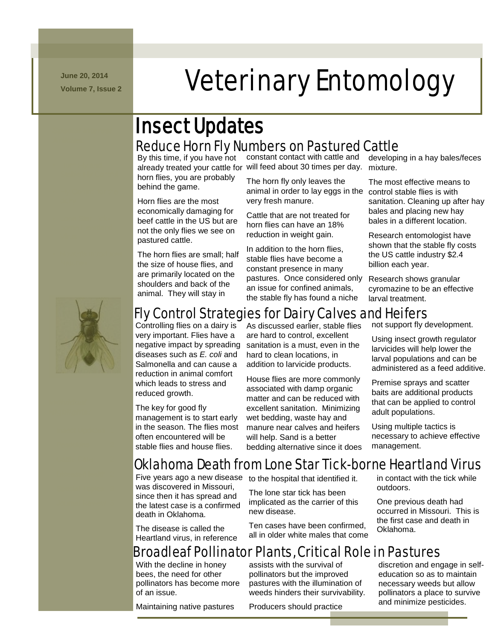**June 20, 2014**

# N m -/.///../. mmmmmmmm **Veterinary Entomology**

### Reduce Horn Fly Numbers on Pastured Cattle Insect Updates

horn flies, you are probably behind the game.

Horn flies are the most economically damaging for beef cattle in the US but are not the only flies we see on pastured cattle.

The horn flies are small; half the size of house flies, and are primarily located on the shoulders and back of the animal. They will stay in

By this time, if you have not constant contact with cattle and already treated your cattle for will feed about 30 times per day. mixture.

> The horn fly only leaves the animal in order to lay eggs in the control stable flies is with very fresh manure.

Cattle that are not treated for horn flies can have an 18% reduction in weight gain.

In addition to the horn flies, stable flies have become a constant presence in many pastures. Once considered only an issue for confined animals, the stable fly has found a niche

developing in a hay bales/feces

The most effective means to sanitation. Cleaning up after hay bales and placing new hay bales in a different location.

Research entomologist have shown that the stable fly costs the US cattle industry \$2.4 billion each year.

Research shows granular cyromazine to be an effective larval treatment.



### Fly Control Strategies for Dairy Calves and Heifers

Controlling flies on a dairy is very important. Flies have a negative impact by spreading diseases such as *E. coli* and Salmonella and can cause a reduction in animal comfort which leads to stress and reduced growth.

The key for good fly management is to start early in the season. The flies most often encountered will be stable flies and house flies.

As discussed earlier, stable flies are hard to control, excellent sanitation is a must, even in the hard to clean locations, in addition to larvicide products.

House flies are more commonly associated with damp organic matter and can be reduced with excellent sanitation. Minimizing wet bedding, waste hay and manure near calves and heifers will help. Sand is a better bedding alternative since it does not support fly development.

Using insect growth regulator larvicides will help lower the larval populations and can be administered as a feed additive.

Premise sprays and scatter baits are additional products that can be applied to control adult populations.

Using multiple tactics is necessary to achieve effective management.

# Oklahoma Death from Lone Star Tick-borne Heartland Virus

was discovered in Missouri, since then it has spread and the latest case is a confirmed death in Oklahoma.

The disease is called the Heartland virus, in reference

Five years ago a new disease to the hospital that identified it.

The lone star tick has been implicated as the carrier of this new disease.

Ten cases have been confirmed, all in older white males that come in contact with the tick while outdoors.

One previous death had occurred in Missouri. This is the first case and death in Oklahoma.

# Broadleaf Pollinator Plants, Critical Role in Pastures

With the decline in honey bees, the need for other pollinators has become more of an issue.

Maintaining native pastures

assists with the survival of pollinators but the improved pastures with the illumination of weeds hinders their survivability.

Producers should practice

discretion and engage in selfeducation so as to maintain necessary weeds but allow pollinators a place to survive and minimize pesticides.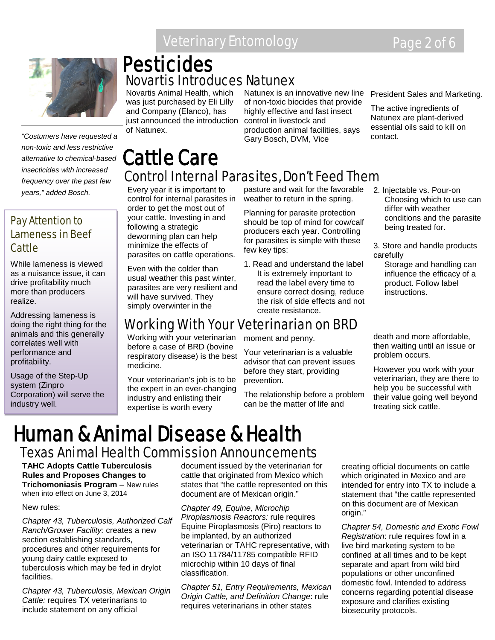### Veterinary Entomology **Page 2 of 6**



*"Costumers have requested a non-toxic and less restrictive alternative to chemical-based insecticides with increased frequency over the past few years," added Bosch.*

#### Pay Attention to Lameness in Beef Cattle

While lameness is viewed as a nuisance issue, it can drive profitability much more than producers realize.

Addressing lameness is doing the right thing for the animals and this generally correlates well with performance and profitability.

Usage of the Step-Up system (Zinpro Corporation) will serve the industry well.

# Novartis Introduces Natunex **Pesticides**

Novartis Animal Health, which was just purchased by Eli Lilly and Company (Elanco), has just announced the introduction of Natunex.

Natunex is an innovative new line of non-toxic biocides that provide highly effective and fast insect control in livestock and production animal facilities, says Gary Bosch, DVM, Vice

### Cattle Care Control Internal Parasites, Don't Feed Them

Every year it is important to control for internal parasites in order to get the most out of your cattle. Investing in and following a strategic deworming plan can help minimize the effects of parasites on cattle operations.

Even with the colder than usual weather this past winter, parasites are very resilient and will have survived. They simply overwinter in the

pasture and wait for the favorable weather to return in the spring.

Planning for parasite protection should be top of mind for cow/calf producers each year. Controlling for parasites is simple with these few key tips:

1. Read and understand the label It is extremely important to read the label every time to ensure correct dosing, reduce the risk of side effects and not create resistance.

### Working With Your Veterinarian on BRD

Working with your veterinarian before a case of BRD (bovine respiratory disease) is the best medicine.

Your veterinarian's job is to be the expert in an ever-changing industry and enlisting their expertise is worth every

moment and penny.

Your veterinarian is a valuable advisor that can prevent issues before they start, providing prevention.

The relationship before a problem can be the matter of life and

President Sales and Marketing.

The active ingredients of Natunex are plant-derived essential oils said to kill on contact.

- 2. Injectable vs. Pour-on Choosing which to use can differ with weather conditions and the parasite being treated for.
- 3. Store and handle products carefully
	- Storage and handling can influence the efficacy of a product. Follow label instructions.

death and more affordable, then waiting until an issue or problem occurs.

However you work with your veterinarian, they are there to help you be successful with their value going well beyond treating sick cattle.

# Human & Animal Disease & Health Texas Animal Health Commission Announcements

**TAHC Adopts Cattle Tuberculosis Rules and Proposes Changes to Trichomoniasis Program** – New rules when into effect on June 3, 2014

#### New rules:

*Chapter 43, Tuberculosis, Authorized Calf Ranch/Grower Facility:* creates a new section establishing standards. procedures and other requirements for young dairy cattle exposed to tuberculosis which may be fed in drylot facilities.

*Chapter 43, Tuberculosis, Mexican Origin Cattle:* requires TX veterinarians to include statement on any official

document issued by the veterinarian for cattle that originated from Mexico which states that "the cattle represented on this document are of Mexican origin."

*Chapter 49, Equine, Microchip Piroplasmosis Reactors:* rule requires Equine Piroplasmosis (Piro) reactors to be implanted, by an authorized veterinarian or TAHC representative, with an ISO 11784/11785 compatible RFID microchip within 10 days of final classification.

*Chapter 51, Entry Requirements, Mexican Origin Cattle, and Definition Change*: rule requires veterinarians in other states

creating official documents on cattle which originated in Mexico and are intended for entry into TX to include a statement that "the cattle represented on this document are of Mexican origin."

*Chapter 54, Domestic and Exotic Fowl Registration*: rule requires fowl in a live bird marketing system to be confined at all times and to be kept separate and apart from wild bird populations or other unconfined domestic fowl. Intended to address concerns regarding potential disease exposure and clarifies existing biosecurity protocols.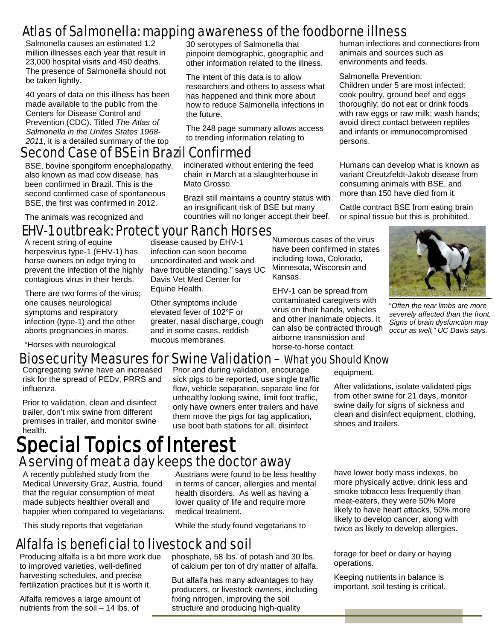### Atlas of Salmonella: mapping awareness of the foodborne illness

Salmonella causes an estimated 1.2 million illnesses each year that result in 23,000 hospital visits and 450 deaths. The presence of Salmonella should not be taken lightly.

40 years of data on this illness has been made available to the public from the Centers for Disease Control and Prevention (CDC). Titled *The Atlas of Salmonella in the Unites States 1968- 2011*, it is a detailed summary of the top

#### Second Case of BSE in Brazil Confirmed

BSE, bovine spongiform encephalopathy, also known as mad cow disease, has been confirmed in Brazil. This is the second confirmed case of spontaneous BSE, the first was confirmed in 2012.

The animals was recognized and

#### Numerous cases of the virus **EHV-1 outbreak: Protect your Ranch Horses**<br>A recent string of equine<br>A recent string of equine

 herpesvirus type-1 (EHV-1) has A recent string of equine horse owners on edge trying to prevent the infection of the highly contagious virus in their herds.

There are two forms of the virus; one causes neurological symptoms and respiratory infection (type-1) and the other aborts pregnancies in mares.

"Horses with neurological

30 serotypes of Salmonella that pinpoint demographic, geographic and other information related to the illness.

The intent of this data is to allow researchers and others to assess what has happened and think more about how to reduce Salmonella infections in the future.

The 248 page summary allows access to trending information relating to

incinerated without entering the feed chain in March at a slaughterhouse in Mato Grosso.

Brazil still maintains a country status with an insignificant risk of BSE but many countries will no longer accept their beef.

Kansas.

human infections and connections from animals and sources such as environments and feeds.

#### Salmonella Prevention:

Children under 5 are most infected; cook poultry, ground beef and eggs thoroughly; do not eat or drink foods with raw eggs or raw milk; wash hands; avoid direct contact between reptiles and infants or immunocompromised persons.

Humans can develop what is known as variant Creutzfeldt-Jakob disease from consuming animals with BSE, and more than 150 have died from it.

Cattle contract BSE from eating brain or spinal tissue but this is prohibited.



"*Often the rear limbs are more severely affected than the front. Signs of brain dysfunction may occur as well," UC Davis says.*

#### Biosecurity Measures for Swine Validation – What you Should Know

infection can soon become uncoordinated and week and have trouble standing." says UC Davis Vet Med Center for

Other symptoms include elevated fever of 102°F or greater, nasal discharge, cough and in some cases, reddish mucous membranes.

Equine Health.

Congregating swine have an increased risk for the spread of PEDv, PRRS and influenza.

Prior to validation, clean and disinfect trailer, don't mix swine from different premises in trailer, and monitor swine health.

# Special Topics of Interest A serving of meat a day keeps the doctor away

A recently published study from the Medical University Graz, Austria, found that the regular consumption of meat made subjects healthier overall and happier when compared to vegetarians.

This study reports that vegetarian

Prior and during validation, encourage sick pigs to be reported, use single traffic flow, vehicle separation, separate line for unhealthy looking swine, limit foot traffic, only have owners enter trailers and have them move the pigs for tag application, use boot bath stations for all, disinfect

equipment.

have been confirmed in states including Iowa, Colorado, Minnesota, Wisconsin and

EHV-1 can be spread from contaminated caregivers with virus on their hands, vehicles and other inanimate objects. It can also be contracted through airborne transmission and horse-to-horse contact.

> After validations, isolate validated pigs from other swine for 21 days, monitor swine daily for signs of sickness and clean and disinfect equipment, clothing, shoes and trailers.

Austrians were found to be less healthy in terms of cancer, allergies and mental health disorders. As well as having a lower quality of life and require more medical treatment.

While the study found vegetarians to

#### Alfalfa is beneficial to livestock and soil

Producing alfalfa is a bit more work due to improved varieties, well-defined harvesting schedules, and precise fertilization practices but it is worth it.

Alfalfa removes a large amount of nutrients from the soil – 14 lbs. of

phosphate, 58 lbs. of potash and 30 lbs. of calcium per ton of dry matter of alfalfa.

But alfalfa has many advantages to hay producers, or livestock owners, including fixing nitrogen, improving the soil structure and producing high-quality

have lower body mass indexes, be more physically active, drink less and smoke tobacco less frequently than meat-eaters, they were 50% More likely to have heart attacks, 50% more likely to develop cancer, along with twice as likely to develop allergies.

forage for beef or dairy or haying operations.

Keeping nutrients in balance is important, soil testing is critical.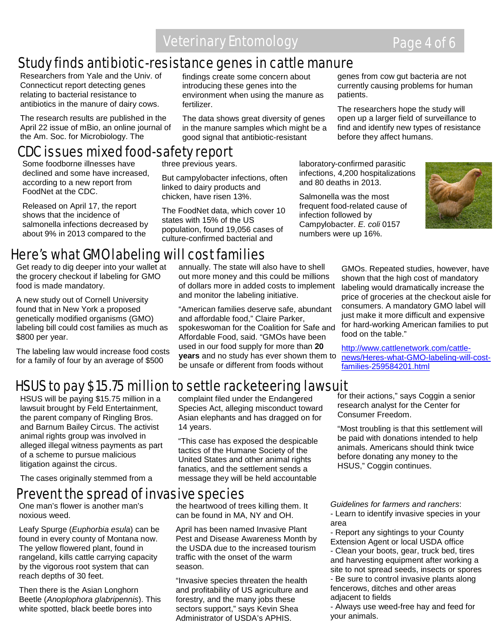### Veterinary Entomology **Page 4 of 6**

### Study finds antibiotic-resistance genes in cattle manure

Researchers from Yale and the Univ. of Connecticut report detecting genes relating to bacterial resistance to antibiotics in the manure of dairy cows.

The research results are published in the April 22 issue of mBio, an online journal of the Am. Soc. for Microbiology. The

findings create some concern about introducing these genes into the environment when using the manure as fertilizer.

The data shows great diversity of genes in the manure samples which might be a good signal that antibiotic-resistant

genes from cow gut bacteria are not currently causing problems for human patients.

The researchers hope the study will open up a larger field of surveillance to find and identify new types of resistance before they affect humans.

### CDC issues mixed food-safety report

Some foodborne illnesses have declined and some have increased, according to a new report from FoodNet at the CDC.

Released on April 17, the report shows that the incidence of salmonella infections decreased by about 9% in 2013 compared to the

three previous years.

But campylobacter infections, often linked to dairy products and chicken, have risen 13%.

The FoodNet data, which cover 10 states with 15% of the US population, found 19,056 cases of culture-confirmed bacterial and

laboratory-confirmed parasitic infections, 4,200 hospitalizations and 80 deaths in 2013.

Salmonella was the most frequent food-related cause of infection followed by Campylobacter. *E. coli* 0157 numbers were up 16%.



### Here's what GMO labeling will cost families

Get ready to dig deeper into your wallet at the grocery checkout if labeling for GMO food is made mandatory.

A new study out of Cornell University found that in New York a proposed genetically modified organisms (GMO) labeling bill could cost families as much as \$800 per year.

The labeling law would increase food costs for a family of four by an average of \$500

annually. The state will also have to shell out more money and this could be millions of dollars more in added costs to implement and monitor the labeling initiative.

"American families deserve safe, abundant and affordable food," Claire Parker, spokeswoman for the Coalition for Safe and Affordable Food, said. "GMOs have been used in our food supply for more than **20 years** and no study has ever shown them to be unsafe or different from foods without

GMOs. Repeated studies, however, have shown that the high cost of mandatory labeling would dramatically increase the price of groceries at the checkout aisle for consumers. A mandatory GMO label will just make it more difficult and expensive for hard-working American families to put food on the table."

[http://www.cattlenetwork.com/cattle](http://www.cattlenetwork.com/cattle-news/Heres-what-GMO-labeling-will-cost-families-259584201.html)[news/Heres-what-GMO-labeling-will-cost](http://www.cattlenetwork.com/cattle-news/Heres-what-GMO-labeling-will-cost-families-259584201.html)[families-259584201.html](http://www.cattlenetwork.com/cattle-news/Heres-what-GMO-labeling-will-cost-families-259584201.html)

### HSUS to pay \$15.75 million to settle racketeering lawsuit

HSUS will be paying \$15.75 million in a lawsuit brought by Feld Entertainment, the parent company of Ringling Bros. and Barnum Bailey Circus. The activist animal rights group was involved in alleged illegal witness payments as part of a scheme to pursue malicious litigation against the circus.

The cases originally stemmed from a

Prevent the spread of invasive species One man's flower is another man's noxious weed.

Leafy Spurge (*Euphorbia esula*) can be found in every county of Montana now. The yellow flowered plant, found in rangeland, kills cattle carrying capacity by the vigorous root system that can reach depths of 30 feet.

Then there is the Asian Longhorn Beetle (*Anoplophora glabripennis*). This white spotted, black beetle bores into

complaint filed under the Endangered Species Act, alleging misconduct toward Asian elephants and has dragged on for 14 years.

"This case has exposed the despicable tactics of the Humane Society of the United States and other animal rights fanatics, and the settlement sends a message they will be held accountable

the heartwood of trees killing them. It can be found in MA, NY and OH.

April has been named Invasive Plant Pest and Disease Awareness Month by the USDA due to the increased tourism traffic with the onset of the warm season.

"Invasive species threaten the health and profitability of US agriculture and forestry, and the many jobs these sectors support," says Kevin Shea Administrator of USDA's APHIS.

for their actions," says Coggin a senior research analyst for the Center for Consumer Freedom.

"Most troubling is that this settlement will be paid with donations intended to help animals. Americans should think twice before donating any money to the HSUS," Coggin continues.

*Guidelines for farmers and ranchers*: - Learn to identify invasive species in your area

- Report any sightings to your County Extension Agent or local USDA office

- Clean your boots, gear, truck bed, tires and harvesting equipment after working a site to not spread seeds, insects or spores - Be sure to control invasive plants along

fencerows, ditches and other areas adjacent to fields

- Always use weed-free hay and feed for your animals.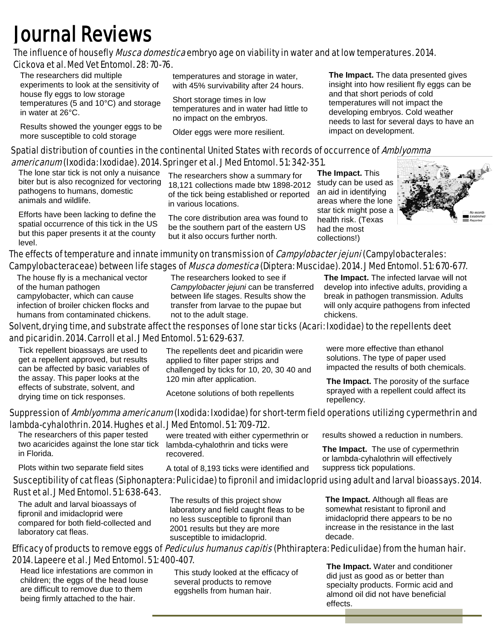# **Journal Reviews**<br>The influence of housefly *Musca domestica* embryo age on viability in water and at low temperatures. 2014. Cickova et al. Med Vet Entomol. 28: 70-76.

 The researchers did multiple experiments to look at the sensitivity of house fly eggs to low storage temperatures (5 and 10°C) and storage in water at 26°C.

Results showed the younger eggs to be more susceptible to cold storage

temperatures and storage in water, with 45% survivability after 24 hours.

Short storage times in low temperatures and in water had little to no impact on the embryos.

Older eggs were more resilient.

**The Impact.** The data presented gives insight into how resilient fly eggs can be and that short periods of cold temperatures will not impact the developing embryos. Cold weather needs to last for several days to have an impact on development.

#### Spatial distribution of counties in the continental United States with records of occurrence of Amblyomma americanum (Ixodida: Ixodidae). 2014. Springer et al. J Med Entomol. 51: 342-351.

The lone star tick is not only a nuisance biter but is also recognized for vectoring pathogens to humans, domestic animals and wildlife.

Efforts have been lacking to define the spatial occurrence of this tick in the US but this paper presents it at the county level.

The researchers show a summary for 18,121 collections made btw 1898-2012 of the tick being established or reported in various locations.

The core distribution area was found to be the southern part of the eastern US but it also occurs further north.

**The Impact.** This study can be used as an aid in identifying areas where the lone star tick might pose a health risk. (Texas had the most collections!)



#### The effects of temperature and innate immunity on transmission of *Campylobacter jejuni* (Campylobacterales: Campylobacteraceae) between life stages of *Musca domestica* (Diptera: Muscidae). 2014. J Med Entomol. 51: 670-677.

The house fly is a mechanical vector of the human pathogen campylobacter, which can cause infection of broiler chicken flocks and humans from contaminated chickens. The researchers looked to see if *Campylobacter jejuni* can be transferred between life stages. Results show the transfer from larvae to the pupae but not to the adult stage.

**The Impact.** The infected larvae will not develop into infective adults, providing a break in pathogen transmission. Adults will only acquire pathogens from infected chickens.

#### Solvent, drying time, and substrate affect the responses of lone star ticks (Acari: Ixodidae) to the repellents deet and picaridin. 2014. Carroll et al. J Med Entomol. 51: 629-637.

Tick repellent bioassays are used to get a repellent approved, but results can be affected by basic variables of the assay. This paper looks at the effects of substrate, solvent, and drying time on tick responses.

The repellents deet and picaridin were applied to filter paper strips and challenged by ticks for 10, 20, 30 40 and 120 min after application.

Acetone solutions of both repellents

were more effective than ethanol solutions. The type of paper used impacted the results of both chemicals.

**The Impact.** The porosity of the surface sprayed with a repellent could affect its repellency.

#### Suppression of Amblyomma americanum (Ixodida: Ixodidae) for short-term field operations utilizing cypermethrin and lambda-cyhalothrin. 2014. Hughes et al. J Med Entomol. 51: 709-712.

 The researchers of this paper tested two acaricides against the lone star tick in Florida.

Plots within two separate field sites

were treated with either cypermethrin or lambda-cyhalothrin and ticks were recovered.

A total of 8,193 ticks were identified and

results showed a reduction in numbers.

**The Impact.** The use of cypermethrin or lambda-cyhalothrin will effectively suppress tick populations.

#### Susceptibility of cat fleas (Siphonaptera: Pulicidae) to fipronil and imidacloprid using adult and larval bioassays. 2014. Rust et al. J Med Entomol. 51: 638-643.

The adult and larval bioassays of fipronil and imidacloprid were compared for both field-collected and laboratory cat fleas.

The results of this project show laboratory and field caught fleas to be no less susceptible to fipronil than 2001 results but they are more susceptible to imidacloprid.

**The Impact.** Although all fleas are somewhat resistant to fipronil and imidacloprid there appears to be no increase in the resistance in the last decade.

#### Efficacy of products to remove eggs of *Pediculus humanus capitis* (Phthiraptera: Pediculidae) from the human hair. 2014. Lapeere et al. J Med Entomol. 51: 400-407.

 Head lice infestations are common in children; the eggs of the head louse are difficult to remove due to them being firmly attached to the hair.

This study looked at the efficacy of several products to remove eggshells from human hair.

**The Impact.** Water and conditioner did just as good as or better than specialty products. Formic acid and almond oil did not have beneficial effects.